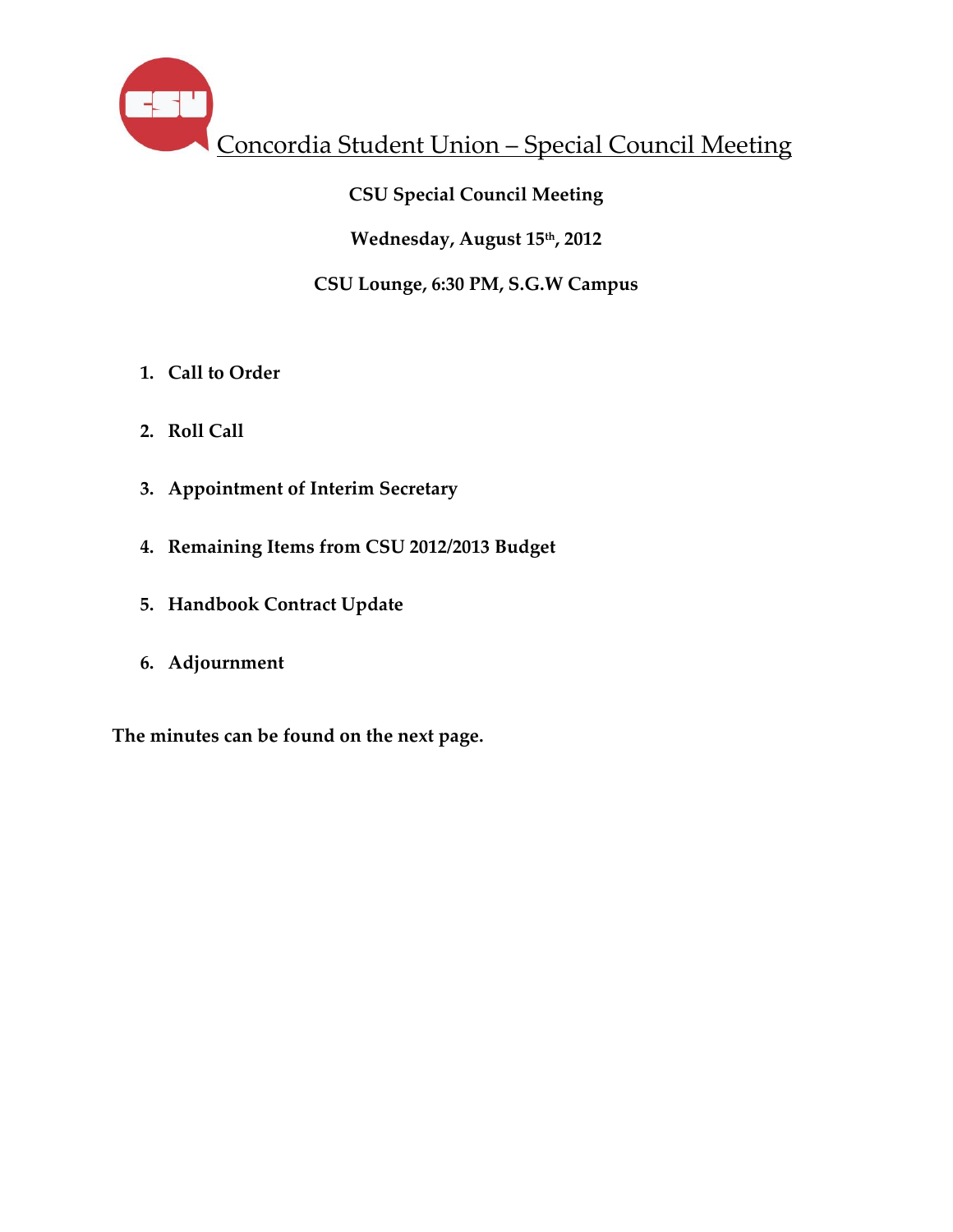

# **CSU Special Council Meeting**

### **Wednesday, August 15th, 2012**

# **CSU Lounge, 6:30 PM, S.G.W Campus**

- **1. Call to Order**
- **2. Roll Call**
- **3. Appointment of Interim Secretary**
- **4. Remaining Items from CSU 2012/2013 Budget**
- **5. Handbook Contract Update**
- **6. Adjournment**

**The minutes can be found on the next page.**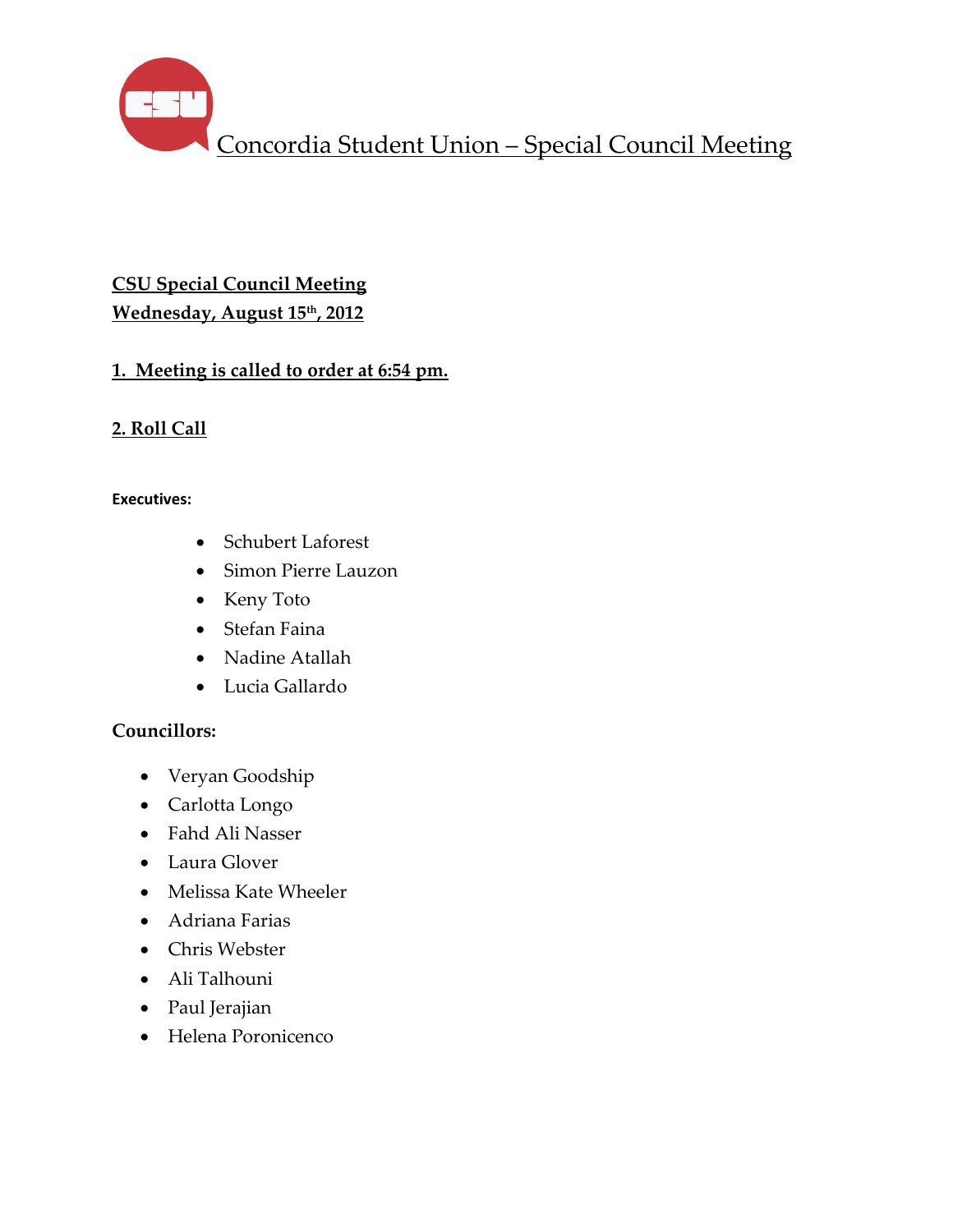Concordia Student Union – Special Council Meeting

# **CSU Special Council Meeting Wednesday, August 15th , 2012**

# **1. Meeting is called to order at 6:54 pm.**

# **2. Roll Call**

#### **Executives:**

- Schubert Laforest
- Simon Pierre Lauzon
- Keny Toto
- Stefan Faina
- Nadine Atallah
- Lucia Gallardo

# **Councillors:**

- Veryan Goodship
- Carlotta Longo
- Fahd Ali Nasser
- Laura Glover
- Melissa Kate Wheeler
- Adriana Farias
- Chris Webster
- Ali Talhouni
- Paul Jerajian
- Helena Poronicenco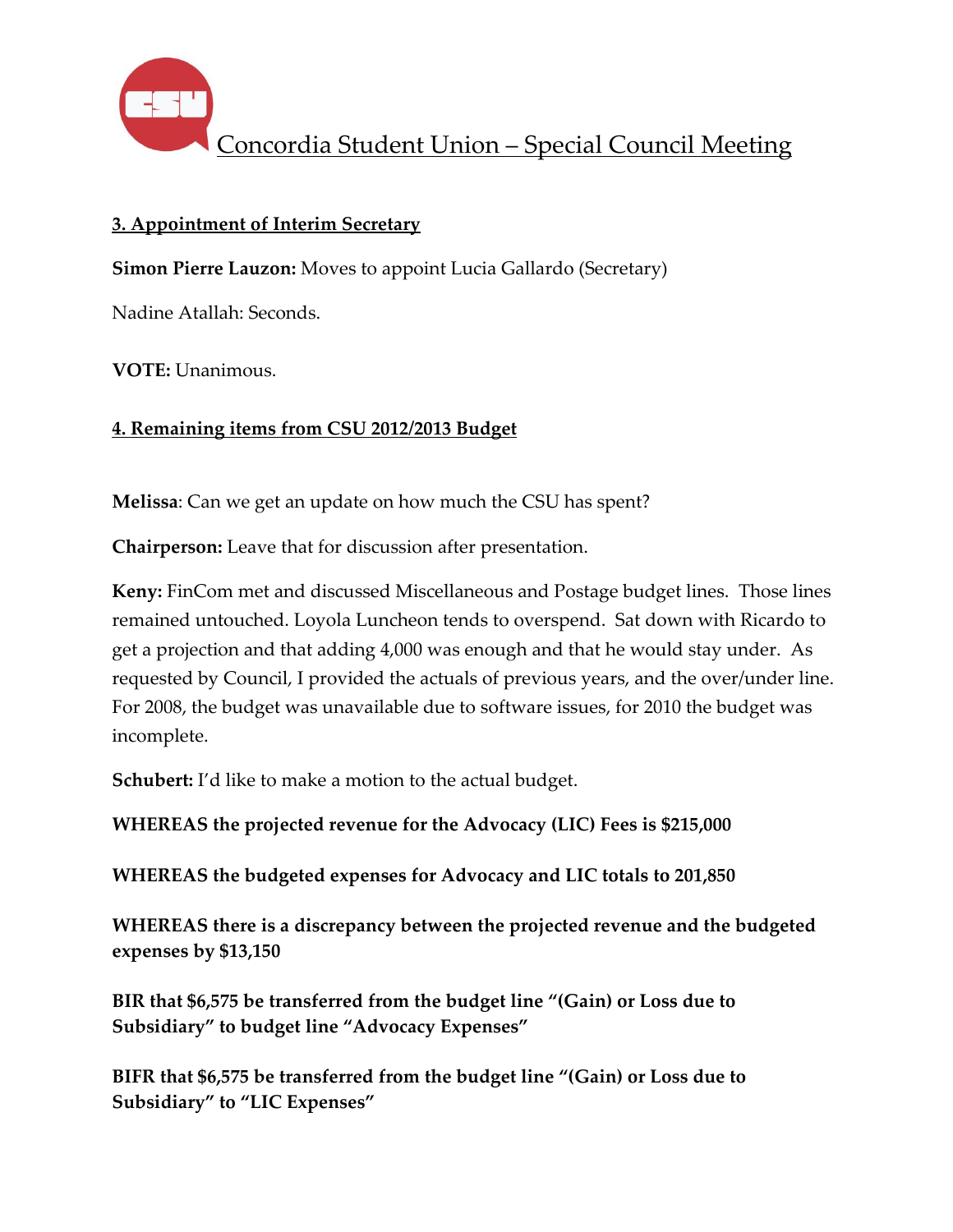

## **3. Appointment of Interim Secretary**

**Simon Pierre Lauzon:** Moves to appoint Lucia Gallardo (Secretary)

Nadine Atallah: Seconds.

**VOTE:** Unanimous.

### **4. Remaining items from CSU 2012/2013 Budget**

**Melissa**: Can we get an update on how much the CSU has spent?

**Chairperson:** Leave that for discussion after presentation.

**Keny:** FinCom met and discussed Miscellaneous and Postage budget lines. Those lines remained untouched. Loyola Luncheon tends to overspend. Sat down with Ricardo to get a projection and that adding 4,000 was enough and that he would stay under. As requested by Council, I provided the actuals of previous years, and the over/under line. For 2008, the budget was unavailable due to software issues, for 2010 the budget was incomplete.

**Schubert:** I'd like to make a motion to the actual budget.

**WHEREAS the projected revenue for the Advocacy (LIC) Fees is \$215,000**

**WHEREAS the budgeted expenses for Advocacy and LIC totals to 201,850**

**WHEREAS there is a discrepancy between the projected revenue and the budgeted expenses by \$13,150**

**BIR that \$6,575 be transferred from the budget line "(Gain) or Loss due to Subsidiary" to budget line "Advocacy Expenses"**

**BIFR that \$6,575 be transferred from the budget line "(Gain) or Loss due to Subsidiary" to "LIC Expenses"**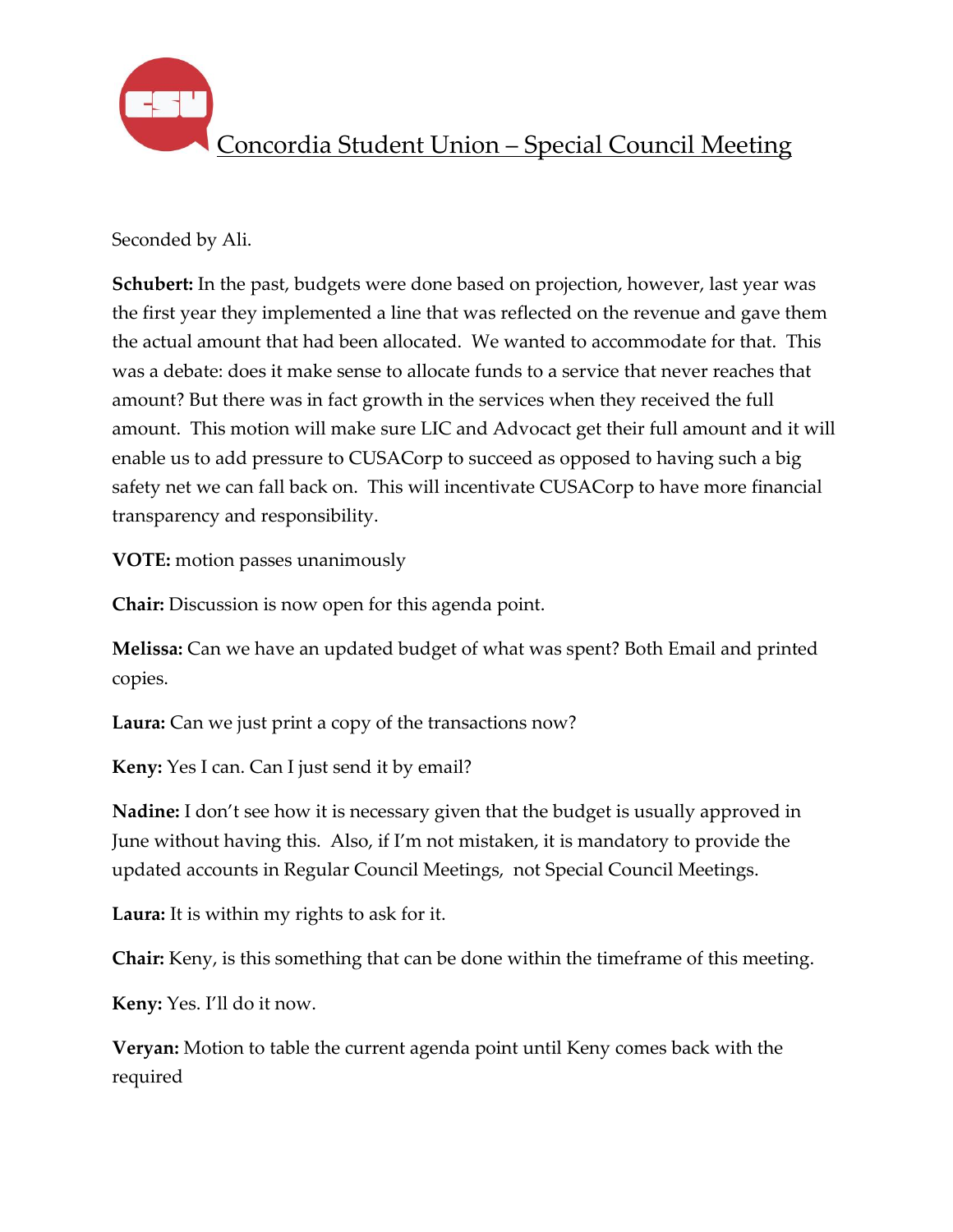

Seconded by Ali.

**Schubert:** In the past, budgets were done based on projection, however, last year was the first year they implemented a line that was reflected on the revenue and gave them the actual amount that had been allocated. We wanted to accommodate for that. This was a debate: does it make sense to allocate funds to a service that never reaches that amount? But there was in fact growth in the services when they received the full amount. This motion will make sure LIC and Advocact get their full amount and it will enable us to add pressure to CUSACorp to succeed as opposed to having such a big safety net we can fall back on. This will incentivate CUSACorp to have more financial transparency and responsibility.

**VOTE:** motion passes unanimously

**Chair:** Discussion is now open for this agenda point.

**Melissa:** Can we have an updated budget of what was spent? Both Email and printed copies.

**Laura:** Can we just print a copy of the transactions now?

**Keny:** Yes I can. Can I just send it by email?

**Nadine:** I don't see how it is necessary given that the budget is usually approved in June without having this. Also, if I'm not mistaken, it is mandatory to provide the updated accounts in Regular Council Meetings, not Special Council Meetings.

**Laura:** It is within my rights to ask for it.

**Chair:** Keny, is this something that can be done within the timeframe of this meeting.

**Keny:** Yes. I'll do it now.

**Veryan:** Motion to table the current agenda point until Keny comes back with the required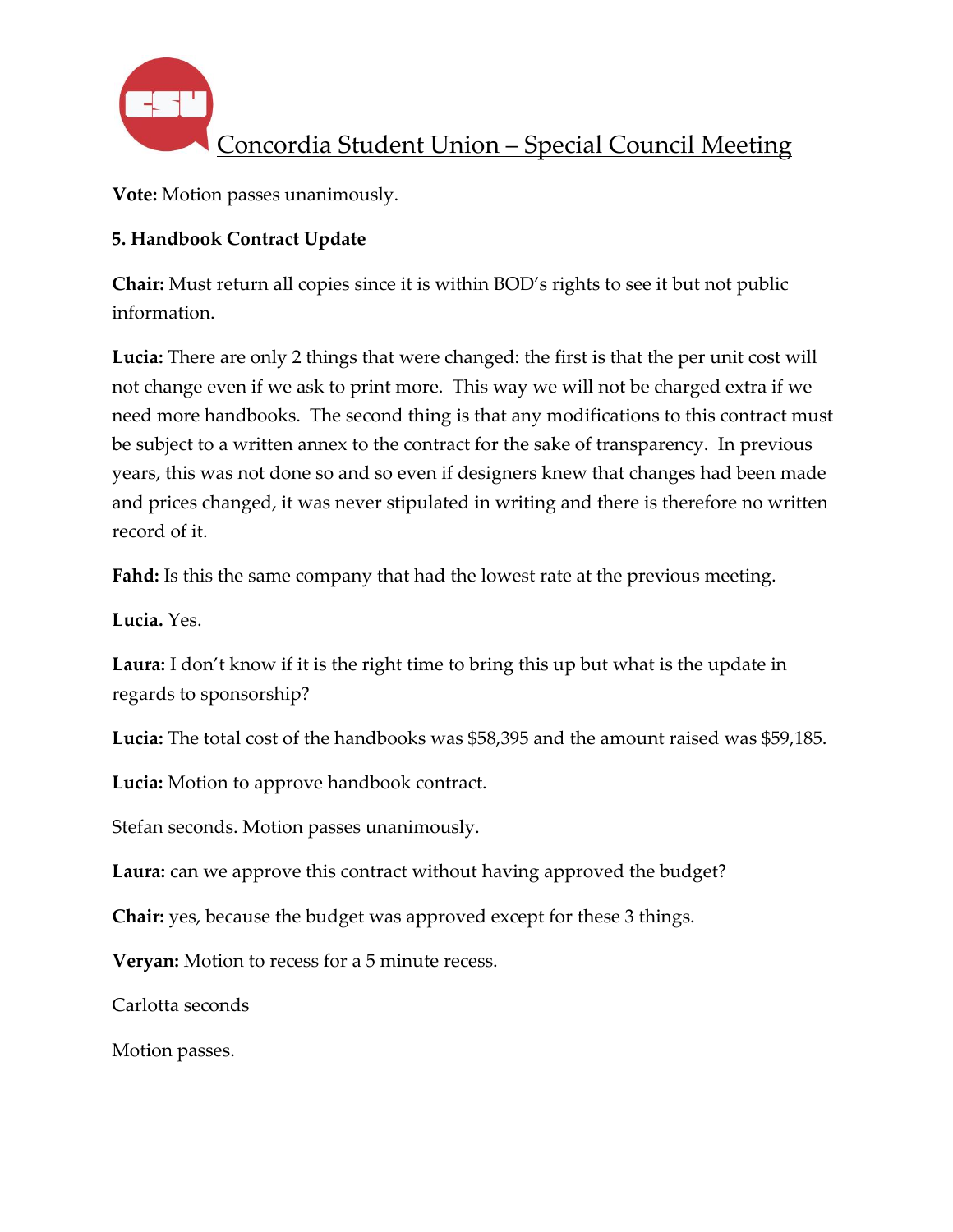

**Vote:** Motion passes unanimously.

# **5. Handbook Contract Update**

**Chair:** Must return all copies since it is within BOD's rights to see it but not public information.

**Lucia:** There are only 2 things that were changed: the first is that the per unit cost will not change even if we ask to print more. This way we will not be charged extra if we need more handbooks. The second thing is that any modifications to this contract must be subject to a written annex to the contract for the sake of transparency. In previous years, this was not done so and so even if designers knew that changes had been made and prices changed, it was never stipulated in writing and there is therefore no written record of it.

**Fahd:** Is this the same company that had the lowest rate at the previous meeting.

**Lucia.** Yes.

**Laura:** I don't know if it is the right time to bring this up but what is the update in regards to sponsorship?

**Lucia:** The total cost of the handbooks was \$58,395 and the amount raised was \$59,185.

**Lucia:** Motion to approve handbook contract.

Stefan seconds. Motion passes unanimously.

**Laura:** can we approve this contract without having approved the budget?

**Chair:** yes, because the budget was approved except for these 3 things.

**Veryan:** Motion to recess for a 5 minute recess.

Carlotta seconds

Motion passes.